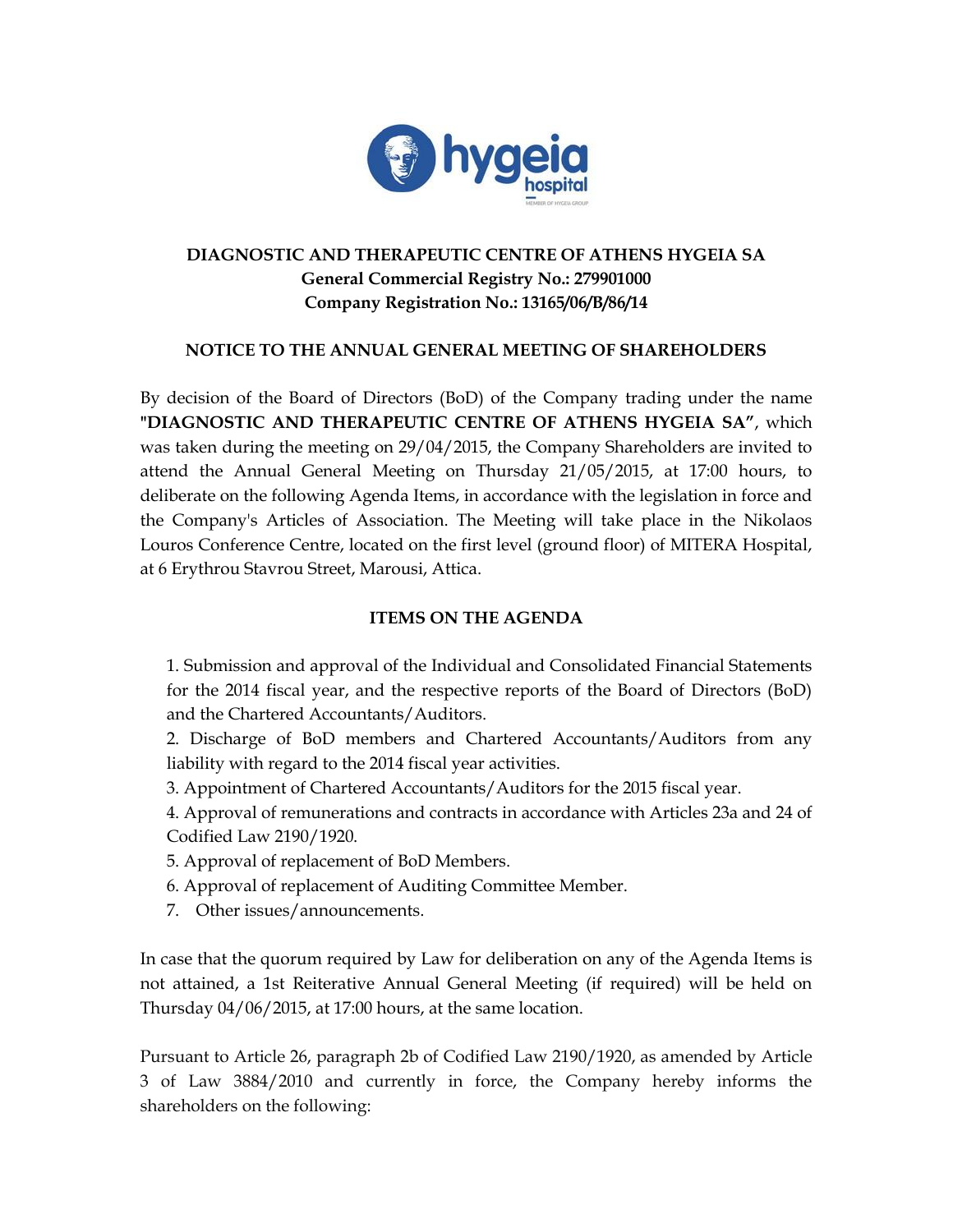

# **DIAGNOSTIC AND THERAPEUTIC CENTRE OF ATHENS HYGEIA SA General Commercial Registry No.: 279901000 Company Registration No.: 13165/06/B/86/14**

## **NOTICE TO THE ANNUAL GENERAL MEETING OF SHAREHOLDERS**

By decision of the Board of Directors (BoD) of the Company trading under the name **"DIAGNOSTIC AND THERAPEUTIC CENTRE OF ATHENS HYGEIA SA"**, which was taken during the meeting on 29/04/2015, the Company Shareholders are invited to attend the Annual General Meeting on Thursday 21/05/2015, at 17:00 hours, to deliberate on the following Agenda Items, in accordance with the legislation in force and the Company's Articles of Association. The Meeting will take place in the Nikolaos Louros Conference Centre, located on the first level (ground floor) of MITERA Hospital, at 6 Erythrou Stavrou Street, Marousi, Attica.

## **ITEMS ON THE AGENDA**

1. Submission and approval of the Individual and Consolidated Financial Statements for the 2014 fiscal year, and the respective reports of the Board of Directors (BoD) and the Chartered Accountants/Auditors.

2. Discharge of BoD members and Chartered Accountants/Auditors from any liability with regard to the 2014 fiscal year activities.

3. Appointment of Chartered Accountants/Auditors for the 2015 fiscal year.

4. Approval of remunerations and contracts in accordance with Articles 23a and 24 of Codified Law 2190/1920.

- 5. Approval of replacement of BoD Members.
- 6. Approval of replacement of Auditing Committee Member.
- 7. Other issues/announcements.

In case that the quorum required by Law for deliberation on any of the Agenda Items is not attained, a 1st Reiterative Annual General Meeting (if required) will be held on Thursday 04/06/2015, at 17:00 hours, at the same location.

Pursuant to Article 26, paragraph 2b of Codified Law 2190/1920, as amended by Article 3 of Law 3884/2010 and currently in force, the Company hereby informs the shareholders on the following: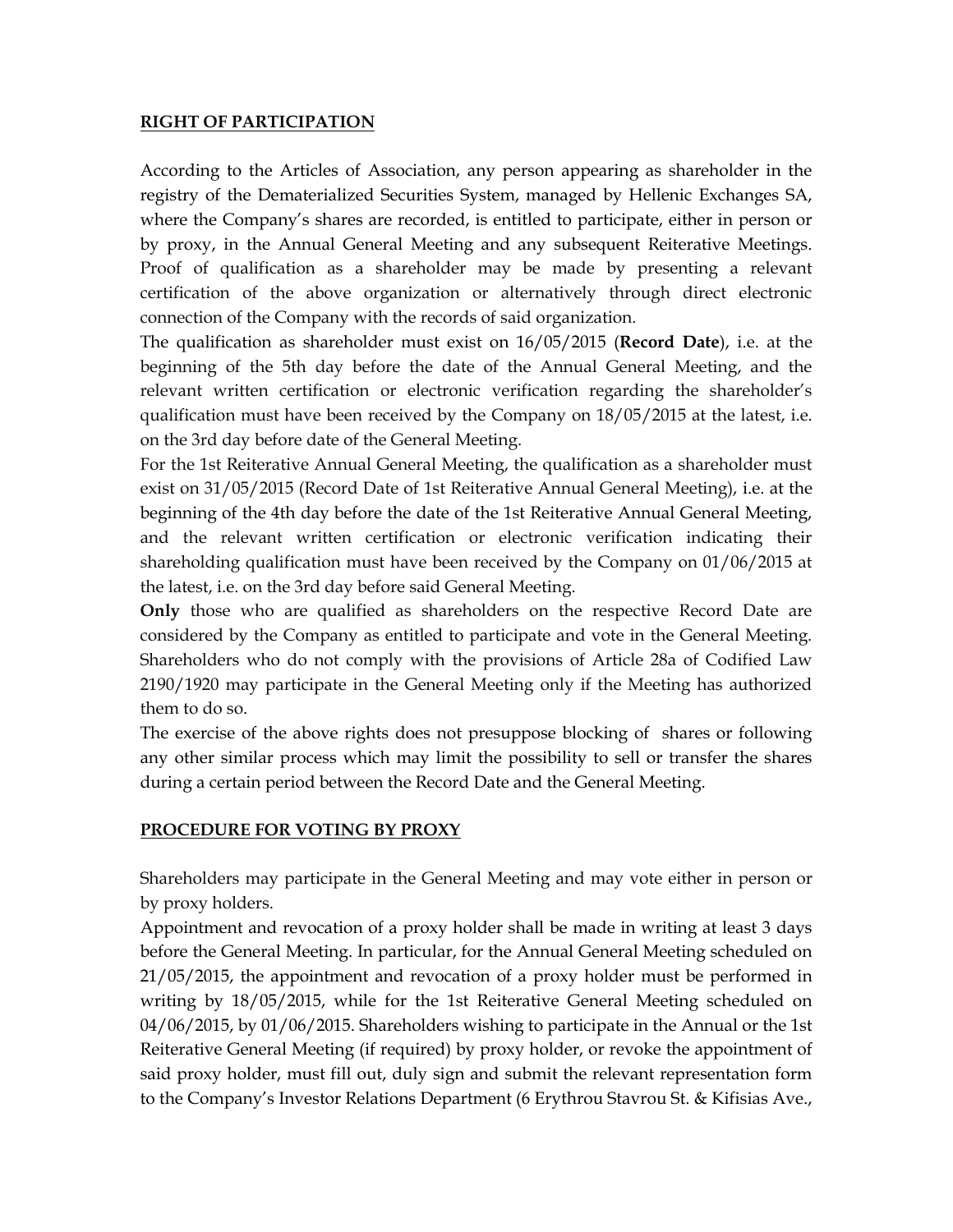#### **RIGHT OF PARTICIPATION**

According to the Articles of Association, any person appearing as shareholder in the registry of the Dematerialized Securities System, managed by Hellenic Exchanges SA, where the Company's shares are recorded, is entitled to participate, either in person or by proxy, in the Annual General Meeting and any subsequent Reiterative Meetings. Proof of qualification as a shareholder may be made by presenting a relevant certification of the above organization or alternatively through direct electronic connection of the Company with the records of said organization.

The qualification as shareholder must exist on 16/05/2015 (**Record Date**), i.e. at the beginning of the 5th day before the date of the Annual General Meeting, and the relevant written certification or electronic verification regarding the shareholder's qualification must have been received by the Company on 18/05/2015 at the latest, i.e. on the 3rd day before date of the General Meeting.

For the 1st Reiterative Annual General Meeting, the qualification as a shareholder must exist on 31/05/2015 (Record Date of 1st Reiterative Annual General Meeting), i.e. at the beginning of the 4th day before the date of the 1st Reiterative Annual General Meeting, and the relevant written certification or electronic verification indicating their shareholding qualification must have been received by the Company on 01/06/2015 at the latest, i.e. on the 3rd day before said General Meeting.

**Only** those who are qualified as shareholders on the respective Record Date are considered by the Company as entitled to participate and vote in the General Meeting. Shareholders who do not comply with the provisions of Article 28a of Codified Law 2190/1920 may participate in the General Meeting only if the Meeting has authorized them to do so.

The exercise of the above rights does not presuppose blocking of shares or following any other similar process which may limit the possibility to sell or transfer the shares during a certain period between the Record Date and the General Meeting.

### **PROCEDURE FOR VOTING BY PROXY**

Shareholders may participate in the General Meeting and may vote either in person or by proxy holders.

Appointment and revocation of a proxy holder shall be made in writing at least 3 days before the General Meeting. In particular, for the Annual General Meeting scheduled on 21/05/2015, the appointment and revocation of a proxy holder must be performed in writing by 18/05/2015, while for the 1st Reiterative General Meeting scheduled on 04/06/2015, by 01/06/2015. Shareholders wishing to participate in the Annual or the 1st Reiterative General Meeting (if required) by proxy holder, or revoke the appointment of said proxy holder, must fill out, duly sign and submit the relevant representation form to the Company's Investor Relations Department (6 Erythrou Stavrou St. & Kifisias Ave.,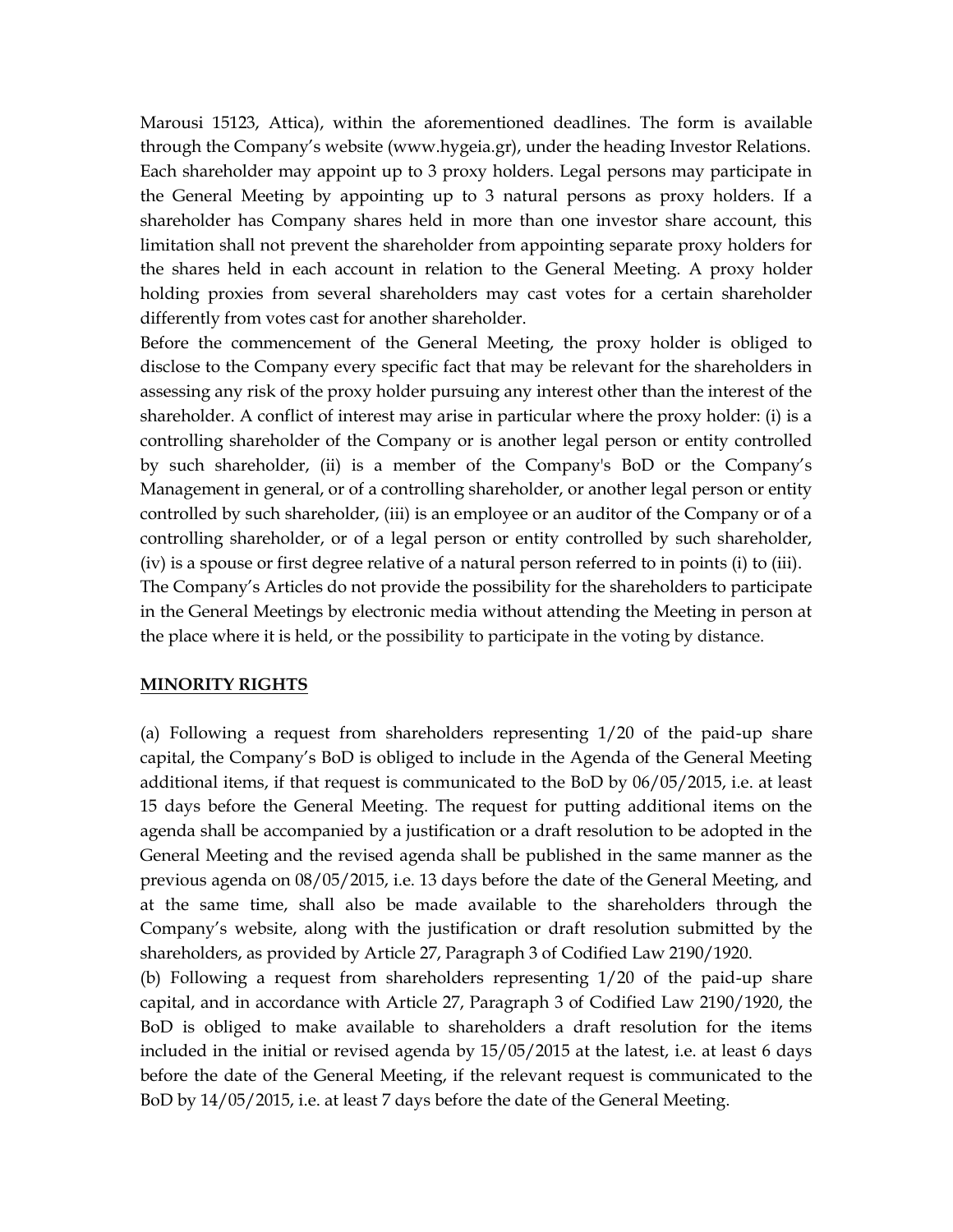Marousi 15123, Attica), within the aforementioned deadlines. The form is available through the Company's website (www.hygeia.gr), under the heading Investor Relations. Each shareholder may appoint up to 3 proxy holders. Legal persons may participate in the General Meeting by appointing up to 3 natural persons as proxy holders. If a shareholder has Company shares held in more than one investor share account, this limitation shall not prevent the shareholder from appointing separate proxy holders for the shares held in each account in relation to the General Meeting. A proxy holder holding proxies from several shareholders may cast votes for a certain shareholder differently from votes cast for another shareholder.

Before the commencement of the General Meeting, the proxy holder is obliged to disclose to the Company every specific fact that may be relevant for the shareholders in assessing any risk of the proxy holder pursuing any interest other than the interest of the shareholder. A conflict of interest may arise in particular where the proxy holder: (i) is a controlling shareholder of the Company or is another legal person or entity controlled by such shareholder, (ii) is a member of the Company's BoD or the Company's Management in general, or of a controlling shareholder, or another legal person or entity controlled by such shareholder, (iii) is an employee or an auditor of the Company or of a controlling shareholder, or of a legal person or entity controlled by such shareholder, (iv) is a spouse or first degree relative of a natural person referred to in points (i) to (iii). The Company's Articles do not provide the possibility for the shareholders to participate in the General Meetings by electronic media without attending the Meeting in person at the place where it is held, or the possibility to participate in the voting by distance.

#### **MINORITY RIGHTS**

(a) Following a request from shareholders representing 1/20 of the paid-up share capital, the Company's BoD is obliged to include in the Agenda of the General Meeting additional items, if that request is communicated to the BoD by 06/05/2015, i.e. at least 15 days before the General Meeting. The request for putting additional items on the agenda shall be accompanied by a justification or a draft resolution to be adopted in the General Meeting and the revised agenda shall be published in the same manner as the previous agenda on 08/05/2015, i.e. 13 days before the date of the General Meeting, and at the same time, shall also be made available to the shareholders through the Company's website, along with the justification or draft resolution submitted by the shareholders, as provided by Article 27, Paragraph 3 of Codified Law 2190/1920.

(b) Following a request from shareholders representing 1/20 of the paid-up share capital, and in accordance with Article 27, Paragraph 3 of Codified Law 2190/1920, the BoD is obliged to make available to shareholders a draft resolution for the items included in the initial or revised agenda by 15/05/2015 at the latest, i.e. at least 6 days before the date of the General Meeting, if the relevant request is communicated to the BoD by 14/05/2015, i.e. at least 7 days before the date of the General Meeting.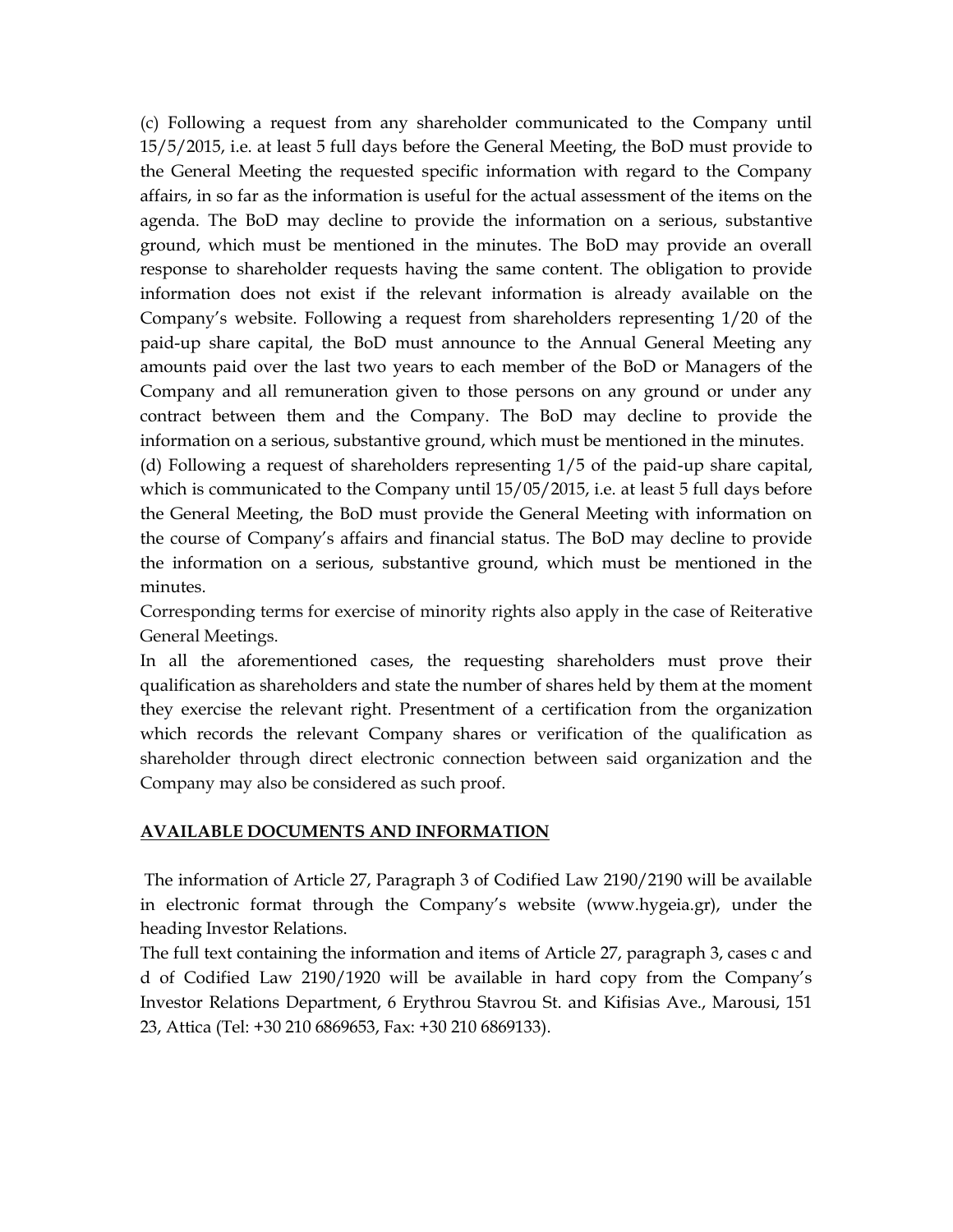(c) Following a request from any shareholder communicated to the Company until 15/5/2015, i.e. at least 5 full days before the General Meeting, the BoD must provide to the General Meeting the requested specific information with regard to the Company affairs, in so far as the information is useful for the actual assessment of the items on the agenda. The BoD may decline to provide the information on a serious, substantive ground, which must be mentioned in the minutes. The BoD may provide an overall response to shareholder requests having the same content. The obligation to provide information does not exist if the relevant information is already available on the Company's website. Following a request from shareholders representing 1/20 of the paid-up share capital, the BoD must announce to the Annual General Meeting any amounts paid over the last two years to each member of the BoD or Managers of the Company and all remuneration given to those persons on any ground or under any contract between them and the Company. The BoD may decline to provide the information on a serious, substantive ground, which must be mentioned in the minutes.

(d) Following a request of shareholders representing 1/5 of the paid-up share capital, which is communicated to the Company until 15/05/2015, i.e. at least 5 full days before the General Meeting, the BoD must provide the General Meeting with information on the course of Company's affairs and financial status. The BoD may decline to provide the information on a serious, substantive ground, which must be mentioned in the minutes.

Corresponding terms for exercise of minority rights also apply in the case of Reiterative General Meetings.

In all the aforementioned cases, the requesting shareholders must prove their qualification as shareholders and state the number of shares held by them at the moment they exercise the relevant right. Presentment of a certification from the organization which records the relevant Company shares or verification of the qualification as shareholder through direct electronic connection between said organization and the Company may also be considered as such proof.

### **AVAILABLE DOCUMENTS AND INFORMATION**

The information of Article 27, Paragraph 3 of Codified Law 2190/2190 will be available in electronic format through the Company's website (www.hygeia.gr), under the heading Investor Relations.

The full text containing the information and items of Article 27, paragraph 3, cases c and d of Codified Law 2190/1920 will be available in hard copy from the Company's Investor Relations Department, 6 Erythrou Stavrou St. and Kifisias Ave., Marousi, 151 23, Attica (Tel: +30 210 6869653, Fax: +30 210 6869133).